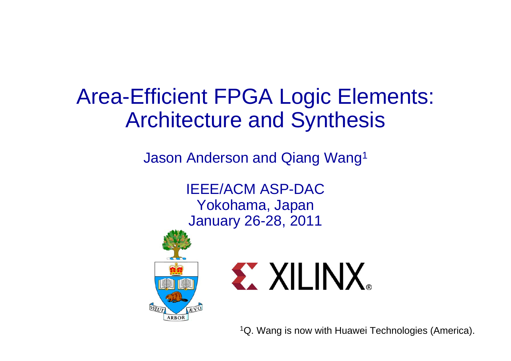#### Area-Efficient FPGA Logic Elements: Architecture and Synthesis

Jason Anderson and Qiang Wang1

IEEE/ACM ASP-DACYokohama, Japan January 26-28, 2011





<sup>1</sup>Q. Wang is now with Huawei Technologies (America).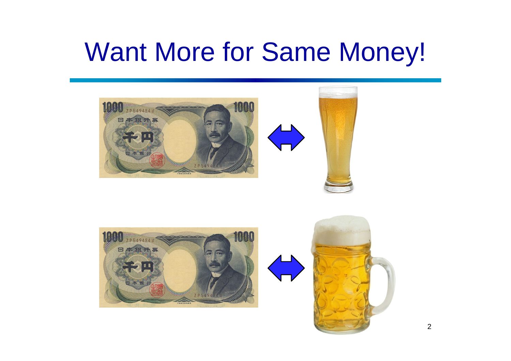## Want More for Same Money!





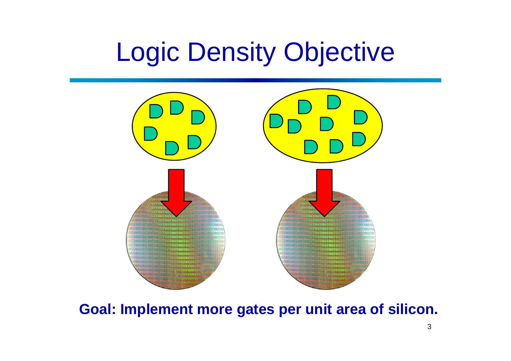## Logic Density Objective



**Goal: Implement more gates per unit area of silicon.**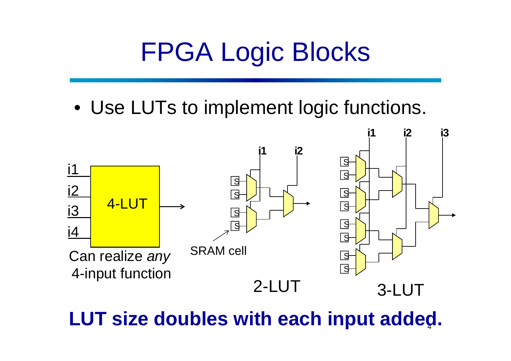# FPGA Logic Blocks

• Use LUTs to implement logic functions.



4**LUT size doubles with each input added.**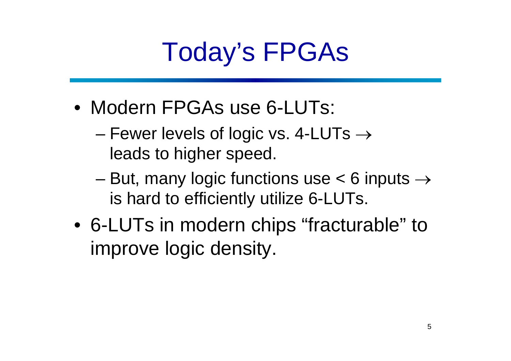# Today's FPGAs

- Modern FPGAs use 6-LUTs:
	- and the state of the state Fewer levels of logic vs. 4-LUTs  $\rightarrow$ leads to higher speed.
	- and the state of the state But, many logic functions use  $< 6$  inputs  $\rightarrow$ is hard to efficiently utilize 6-LUTs.
- 6-LUTs in modern chips "fracturable" to improve logic density.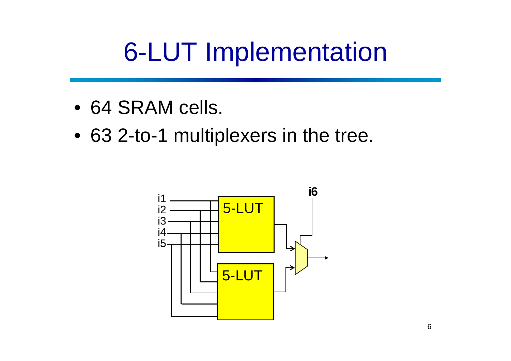# 6-LUT Implementation

- 64 SRAM cells.
- 63 2-to-1 multiplexers in the tree.

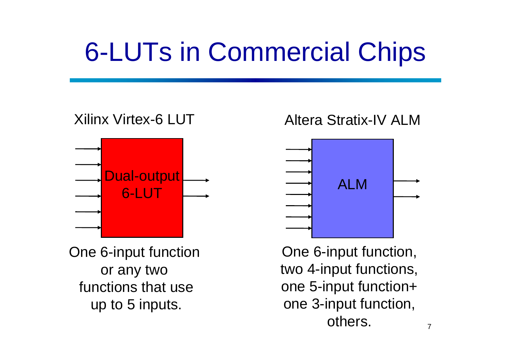# 6-LUTs in Commercial Chips

#### Xilinx Virtex-6 LUT



One 6-input function or any two functions that useup to 5 inputs.

#### Altera Stratix-IV ALM



One 6-input function, two 4-input functions, one 5-input function+ one 3-input function, others.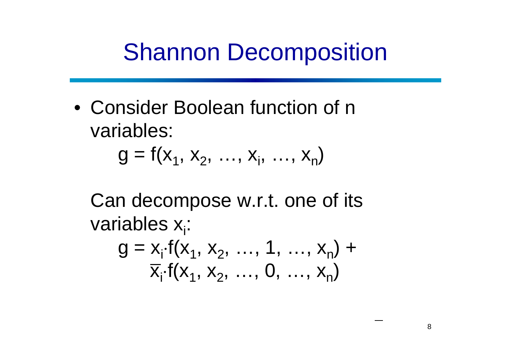#### Shannon Decomposition

• Consider Boolean function of n variables:

$$
g = f(x_1, x_2, ..., x_i, ..., x_n)
$$

Can decompose w.r.t. one of its variables x<sub>i</sub>:

$$
g = x_{i} \cdot f(x_{1}, x_{2}, ..., 1, ..., x_{n}) + \overline{x}_{i} \cdot f(x_{1}, x_{2}, ..., 0, ..., x_{n})
$$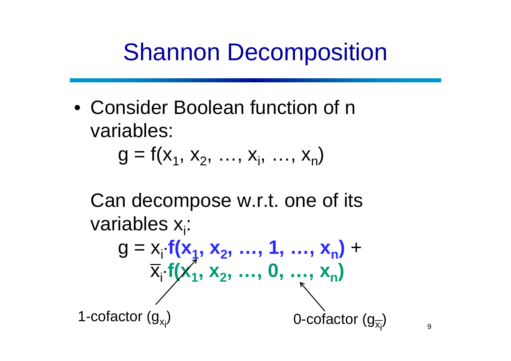#### Shannon Decomposition

• Consider Boolean function of n variables:

$$
g = f(x_1, x_2, ..., x_i, ..., x_n)
$$

Can decompose w.r.t. one of its variables x<sub>i</sub>:

$$
g = x_{i} \cdot f(x_{1}, x_{2}, ..., 1, ..., x_{n}) + \frac{\overline{x}_{i} \cdot f(x_{1}, x_{2}, ..., 0, ..., x_{n})}{\overline{x}_{i} \cdot f(x_{1}, x_{2}, ..., 0, ..., x_{n})}
$$
  
1-cotactor (g<sub>x<sub>i</sub></sub>)

)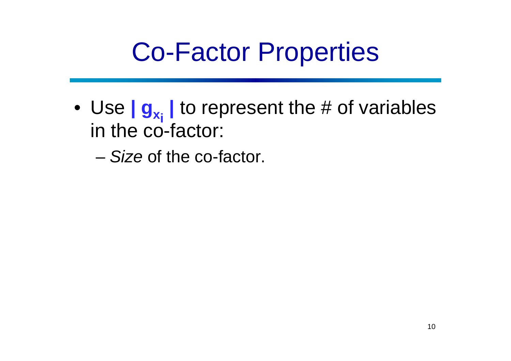### Co-Factor Properties

- Use  $\mathbf{g}_{\mathbf{x}_i}$  to represent the # of variables in the co-factor:
	- *Size* of the co-factor.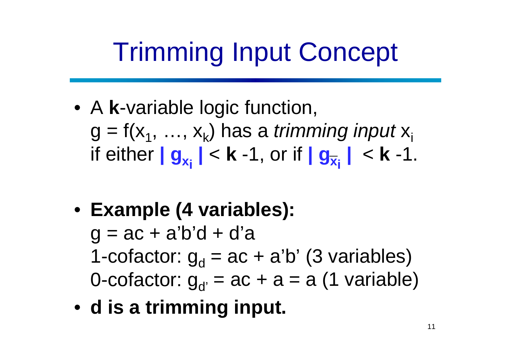# Trimming Input Concept

- A **k**-variable logic function, g = f(x<sub>1</sub>, ..., x<sub>k</sub>) has a *trimming input* x<sub>i</sub> if either **| g xi |** <sup>&</sup>lt; **k** -1, or if **| g xi |** <sup>&</sup>lt; **k** -1.
- **Example (4 variables):**   $q = ac + a'b'd + d'a$ 1-cofactor: g<sub>d</sub> = ac + a'b' (3 variables) 0-cofactor:  $g_{d'} = ac + a = a$  (1 variable)
- **d is a trimming input.**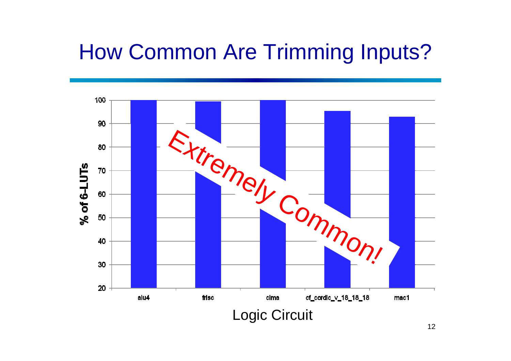#### How Common Are Trimming Inputs?

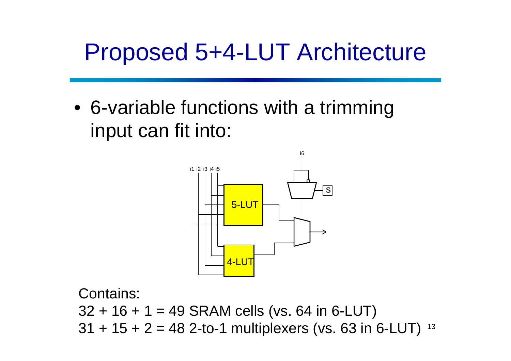#### Proposed 5+4-LUT Architecture

• 6-variable functions with a trimming input can fit into:



13 Contains:  $32 + 16 + 1 = 49$  SRAM cells (vs. 64 in 6-LUT)  $31 + 15 + 2 = 48$  2-to-1 multiplexers (vs. 63 in 6-LUT)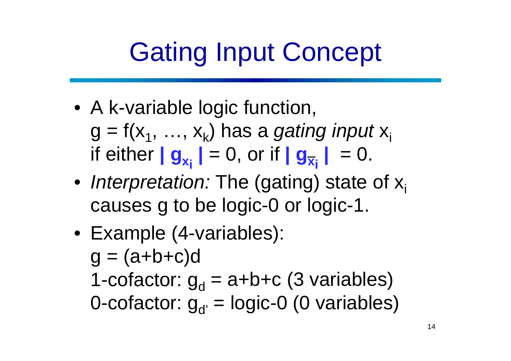# Gating Input Concept

- A k-variable logic function, g = f(x<sub>1</sub>, ..., x<sub>k</sub>) has a *gating input* x<sub>i</sub>  $\| \mathbf{g}_{\mathbf{x}_{\mathbf{i}}} \| = 0, \text{ or if } \| \mathbf{g}_{\overline{\mathbf{x}}_{\mathbf{i}}} \| = 0.$
- *Interpretation:* The (gating) state of x<sub>i</sub> causes g to be logic-0 or logic-1.
- Example (4-variables):  $q = (a+b+c)d$ 1-cofactor: g<sub>d</sub> = a+b+c (3 variables) 0-cofactor:  $g_{d'}$  = logic-0 (0 variables)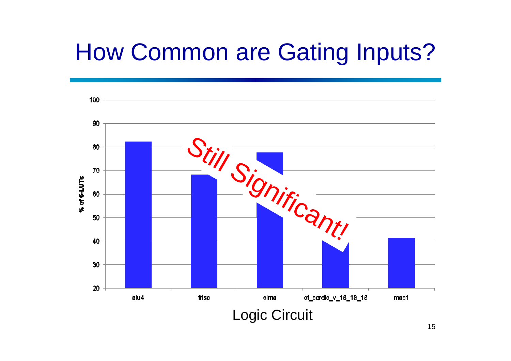#### How Common are Gating Inputs?

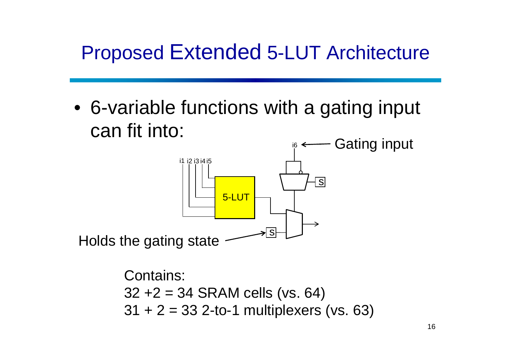#### Proposed Extended 5-LUT Architecture

• 6-variable functions with a gating input can fit into:



Contains:  $32 + 2 = 34$  SRAM cells (vs. 64)  $31 + 2 = 33$  2-to-1 multiplexers (vs. 63)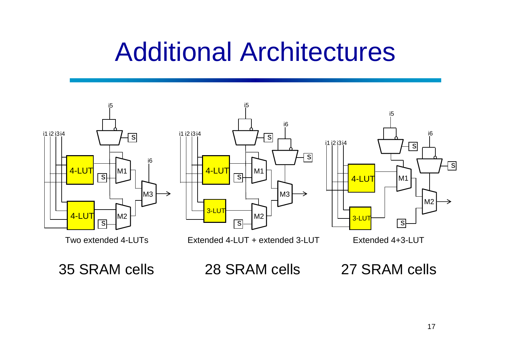### Additional Architectures



35 SRAM cells

28 SRAM cells

27 SRAM cells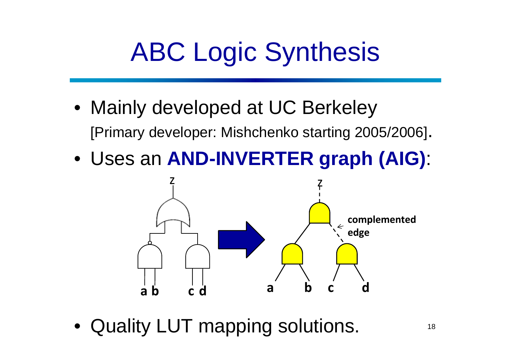# ABC Logic Synthesis

- Mainly developed at UC Berkeley [Primary developer: Mishchenko starting 2005/2006].
- Uses an **AND-INVERTER graph (AIG)**:



•Quality LUT mapping solutions.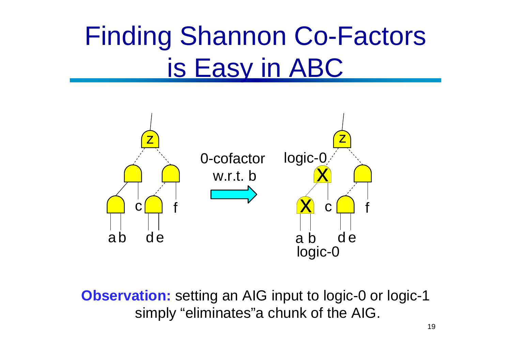# Finding Shannon Co-Factors is Easy in ABC



**Observation:** setting an AIG input to logic-0 or logic-1 simply "eliminates"a chunk of the AIG.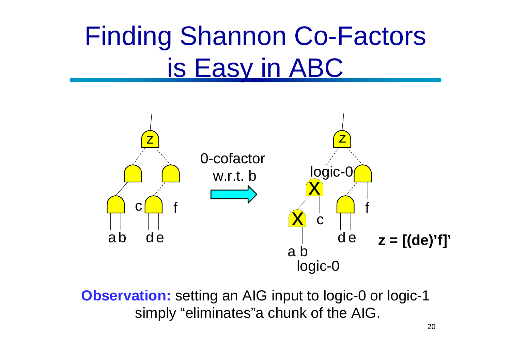# Finding Shannon Co-Factors is Easy in ABC



**Observation:** setting an AIG input to logic-0 or logic-1 simply "eliminates"a chunk of the AIG.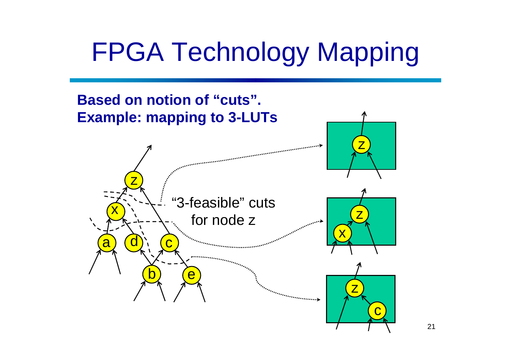# FPGA Technology Mapping



21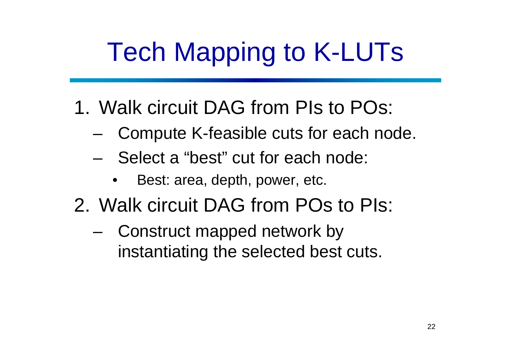# Tech Mapping to K-LUTs

- 1. Walk circuit DAG from PIs to POs:
	- and the state of the state Compute K-feasible cuts for each node.
	- – Select a "best" cut for each node:
		- •Best: area, depth, power, etc.
- 2. Walk circuit DAG from POs to PIs:
	- and the state of the state Construct mapped network by instantiating the selected best cuts.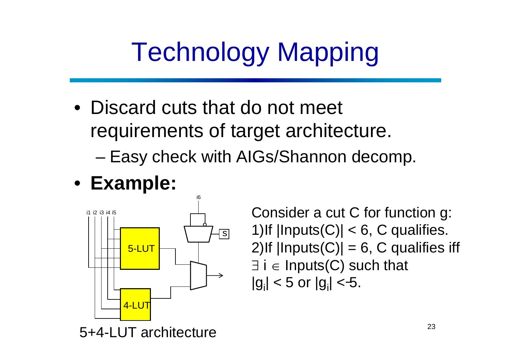# Technology Mapping

- Discard cuts that do not meet requirements of target architecture.
	- –Easy check with AIGs/Shannon decomp.
- **Example:**



Consider a cut C for function g: 1) If  $|InputStream(*C*)| < 6$ , C qualifies. 2)If  $|InputStream|D|| = 6$ , C qualifies iff ∃ i <sup>∈</sup> Inputs(C) such that  $|g_i|$  < 5 or  $|g_i|$  < 5.

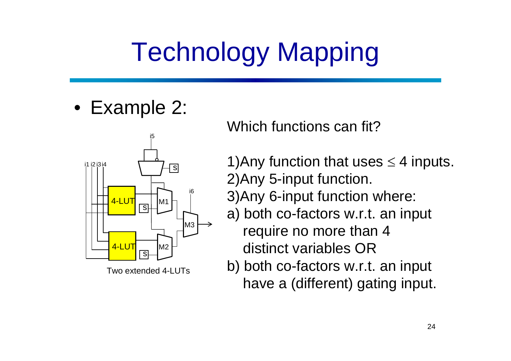# Technology Mapping

• Example 2:



Two extended 4-LUTs

Which functions can fit?

- 1)Any function that uses  $\leq$  4 inputs. 2)Any 5-input function.
- 3)Any 6-input function where:
- a) both co-factors w.r.t. an input require no more than 4 distinct variables OR
- b) both co-factors w.r.t. an input have a (different) gating input.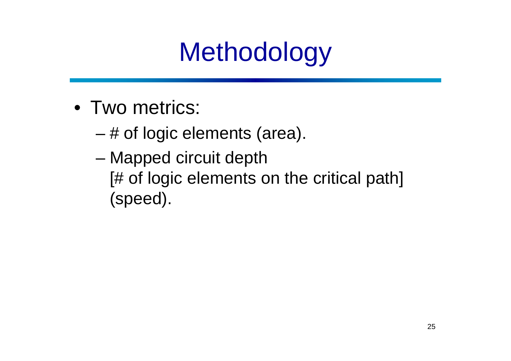# **Methodology**

- Two metrics:
	- and the state of the state # of logic elements (area).
	- – Mapped circuit depth [# of logic elements on the critical path] (speed).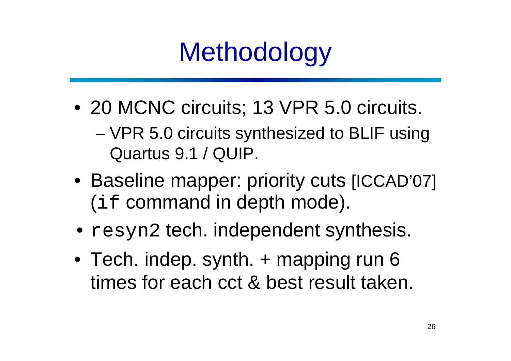# **Methodology**

- 20 MCNC circuits; 13 VPR 5.0 circuits.
	- and the state of the state VPR 5.0 circuits synthesized to BLIF using Quartus 9.1 / QUIP.
- Baseline mapper: priority cuts [ICCAD'07] (if command in depth mode).
- •resyn2 tech. independent synthesis.
- Tech. indep. synth. + mapping run 6 times for each cct & best result taken.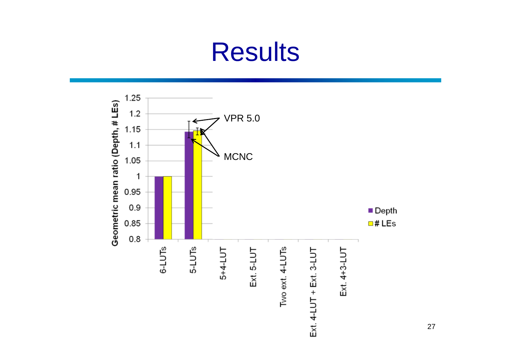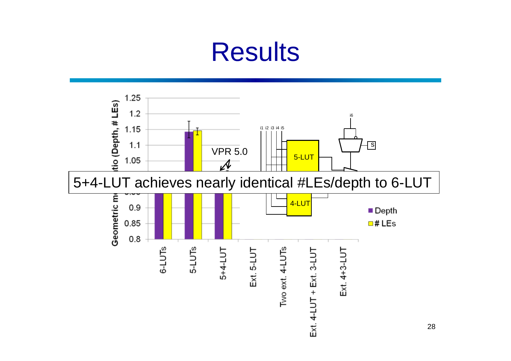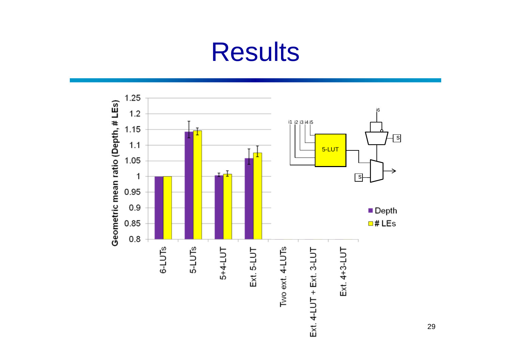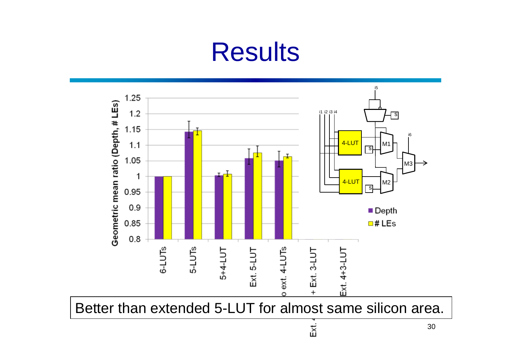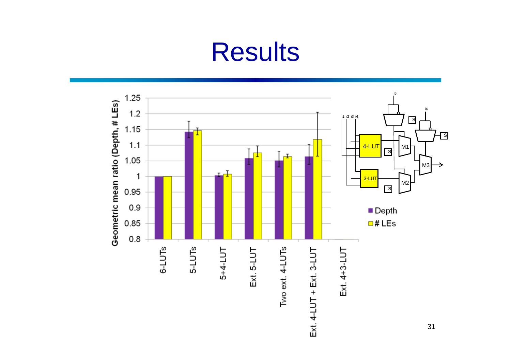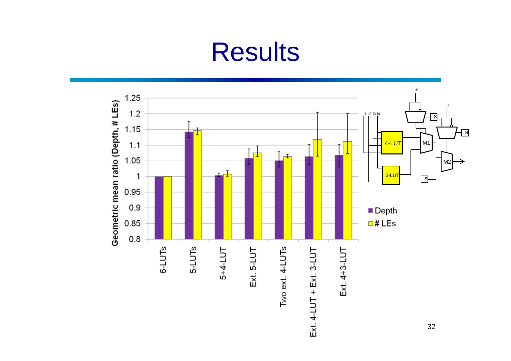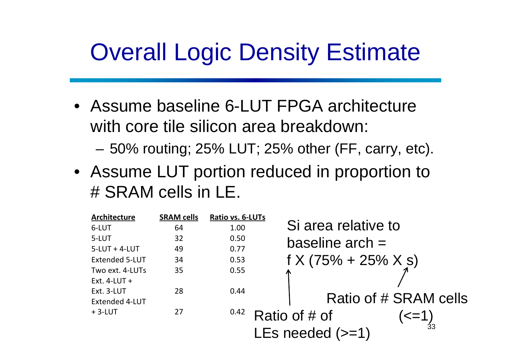#### Overall Logic Density Estimate

• Assume baseline 6-LUT FPGA architecture with core tile silicon area breakdown:

**Links of the Company** 50% routing; 25% LUT; 25% other (FF, carry, etc).

• Assume LUT portion reduced in proportion to # SRAM cells in LE.

| Architecture          | <b>SRAM cells</b> | Ratio vs. 6-LUTs |                              |
|-----------------------|-------------------|------------------|------------------------------|
| 6-LUT                 | 64                | 1.00             | Si area relative to          |
| 5-LUT                 | 32                | 0.50             | baseline $arch =$            |
| $5$ -LUT + 4-LUT      | 49                | 0.77             |                              |
| <b>Extended 5-LUT</b> | 34                | 0.53             | $f X (75\% + 25\% X s)$      |
| Two ext. 4-LUTs       | 35                | 0.55             | Л                            |
| Ext. $4$ -LUT +       |                   |                  |                              |
| Ext. 3-LUT            | 28                | 0.44             |                              |
| Extended 4-LUT        |                   |                  | Ratio of # SRAM cells        |
| $+3-LUT$              | 27                | 0.42             | Ratio of # of<br>$\leq$ = 1) |
|                       |                   |                  | LEs needed $(>=1)$           |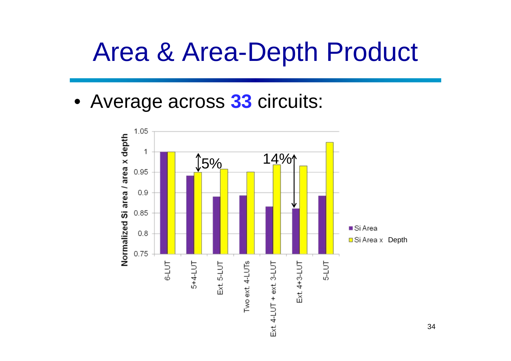### Area & Area-Depth Product

• Average across **33** circuits:

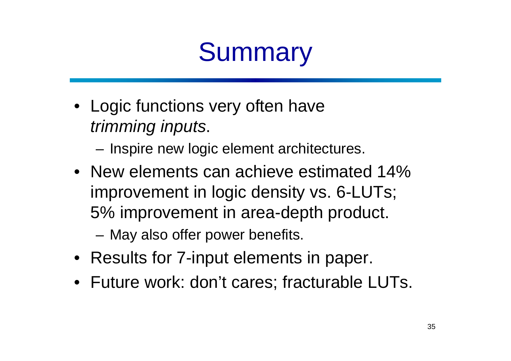# **Summary**

• Logic functions very often have *trimming inputs*.

**Links of the Company** Inspire new logic element architectures.

• New elements can achieve estimated 14% improvement in logic density vs. 6-LUTs; 5% improvement in area-depth product.

**Links of the Company** May also offer power benefits.

- Results for 7-input elements in paper.
- Future work: don't cares; fracturable LUTs.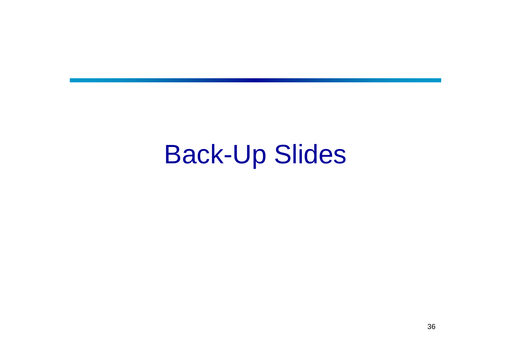#### Back-Up Slides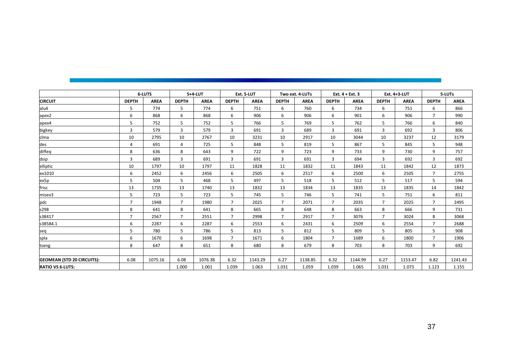|                                   | <b>6-LUTS</b>  |             | 5+4-LUT        |             | Ext. 5-LUT     |             | Two ext. 4-LUTs |             | Ext. $4 + Ext.3$ |             | Ext. 4+3-LUT   |             | 5-LUTs         |             |
|-----------------------------------|----------------|-------------|----------------|-------------|----------------|-------------|-----------------|-------------|------------------|-------------|----------------|-------------|----------------|-------------|
| <b>CIRCUIT</b>                    | <b>DEPTH</b>   | <b>AREA</b> | <b>DEPTH</b>   | <b>AREA</b> | <b>DEPTH</b>   | <b>AREA</b> | <b>DEPTH</b>    | <b>AREA</b> | <b>DEPTH</b>     | <b>AREA</b> | <b>DEPTH</b>   | <b>AREA</b> | <b>DEPTH</b>   | <b>AREA</b> |
| alu4                              | 5              | 774         | 5              | 774         | 6              | 751         | 6               | 760         | 6                | 734         | 6              | 751         | 6              | 866         |
| apex2                             | 6              | 868         | 6              | 868         | 6              | 906         | 6               | 906         | 6                | 901         | 6              | 906         | $\overline{7}$ | 990         |
| apex4                             | 5              | 752         | 5              | 752         | 5              | 766         | 5               | 769         | 5                | 762         | 5              | 766         | 6              | 840         |
| bigkey                            | 3              | 579         | 3              | 579         | 3              | 691         | 3               | 689         | 3                | 691         | 3              | 692         | 3              | 806         |
| clma                              | 10             | 2795        | 10             | 2767        | 10             | 3231        | 10              | 2917        | 10               | 3044        | 10             | 3237        | 12             | 3179        |
| des                               | 4              | 691         | 4              | 725         | 5              | 848         | 5               | 819         | 5                | 867         | 5              | 845         | 5              | 948         |
| diffeq                            | 8              | 636         | 8              | 643         | 9              | 722         | 9               | 723         | 9                | 733         | 9              | 730         | 9              | 757         |
| dsip                              | 3              | 689         | 3              | 691         | 3              | 691         | 3               | 691         | 3                | 694         | 3              | 692         | 3              | 692         |
| elliptic                          | 10             | 1797        | 10             | 1797        | 11             | 1828        | 11              | 1832        | 11               | 1843        | 11             | 1842        | 12             | 1873        |
| ex1010                            | 6              | 2452        | 6              | 2456        | 6              | 2505        | 6               | 2517        | 6                | 2500        | 6              | 2505        | $\overline{7}$ | 2755        |
| ex5p                              | 5              | 504         | 5              | 468         | 5              | 497         | 5               | 518         | 5                | 512         | 5              | 517         | 5              | 594         |
| frisc                             | 13             | 1735        | 13             | 1740        | 13             | 1832        | 13              | 1834        | 13               | 1835        | 13             | 1835        | 14             | 1842        |
| misex3                            | 5              | 723         | 5              | 723         | 5              | 745         | 5               | 746         | 5                | 741         | 5              | 751         | 6              | 811         |
| pdc                               | $\overline{7}$ | 1948        | $\overline{7}$ | 1980        | $\overline{7}$ | 2025        | $\overline{7}$  | 2071        | $\overline{7}$   | 2035        | $\overline{7}$ | 2025        | $\overline{7}$ | 2495        |
| s298                              | 8              | 641         | 8              | 641         | 8              | 665         | 8               | 648         | 8                | 663         | 8              | 666         | 9              | 731         |
| s38417                            | $\overline{7}$ | 2567        | $\overline{7}$ | 2551        | $\overline{7}$ | 2998        | $\overline{7}$  | 2917        | $\overline{7}$   | 3076        | $\overline{7}$ | 3024        | 8              | 3068        |
| s38584.1                          | 6              | 2287        | 6              | 2287        | 6              | 2553        | 6               | 2431        | 6                | 2509        | 6              | 2554        | $\overline{7}$ | 2688        |
| seq                               | 5              | 780         | 5              | 786         | 5              | 813         | 5               | 812         | 5                | 809         | 5              | 805         | 5              | 908         |
| spla                              | 6              | 1670        | 6              | 1698        | $\overline{7}$ | 1671        | 6               | 1804        | $\overline{7}$   | 1689        | 6              | 1800        | $\overline{7}$ | 1906        |
| tseng                             | 8              | 647         | 8              | 651         | 8              | 680         | 8               | 679         | 8                | 703         | 8              | 703         | 9              | 692         |
|                                   |                |             |                |             |                |             |                 |             |                  |             |                |             |                |             |
| <b>GEOMEAN (STD 20 CIRCUITS):</b> | 6.08           | 1075.16     | 6.08           | 1076.38     | 6.32           | 1143.29     | 6.27            | 1138.85     | 6.32             | 1144.99     | 6.27           | 1153.47     | 6.82           | 1241.43     |
| <b>RATIO VS 6-LUTS:</b>           |                |             | 1.000          | 1.001       | 1.039          | 1.063       | 1.031           | 1.059       | 1.039            | 1.065       | 1.031          | 1.073       | 1.123          | 1.155       |